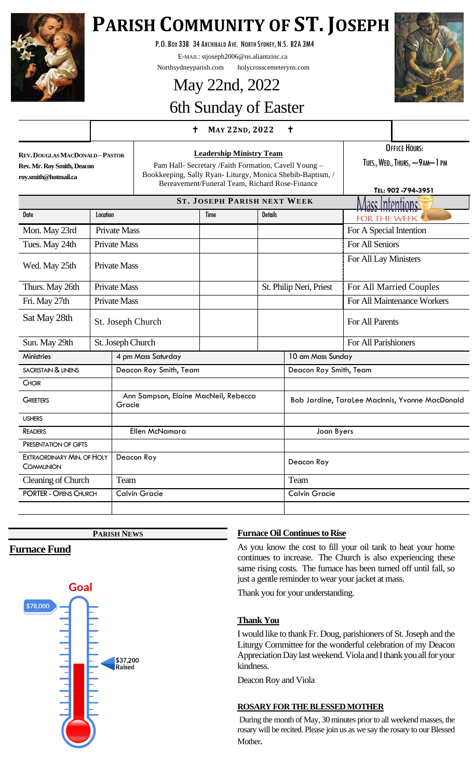

# **PARISH COMMUNITY OF ST. JOSEPH**

P.O.BOX 338 34 ARCHIBALD AVE. NORTH SYDNEY, N.S. B2A 3M4

E-MAIL: stjoseph2006@ns.aliantzinc.ca

Northsydneyparish.com holycrosscemeteryns.com

# May 22nd, 2022

## 6th Sunday of Easter

#### $+$  MAY 22ND, 2022  $+$

| Rev. Douglas MacDonald – Pastor |
|---------------------------------|
| Rev. Mr. Rov Smith, Deacon      |
| roy.smith@hotmail.ca            |

**Leadership Ministry Team** Pam Hall- Secretary /Faith Formation, Cavell Young – Bookkeeping, Sally Ryan- Liturgy, Monica Shebib-Baptism, / Bereavement/Funeral Team, Richard Rose-Finance

OFFICE HOURS: TUES., WED., THURS, - 9AM-1 PM

|                                         |                     |                                                |                      |                |                  |                                                 | TEL: 902-794-3951           |
|-----------------------------------------|---------------------|------------------------------------------------|----------------------|----------------|------------------|-------------------------------------------------|-----------------------------|
| <b>ST. JOSEPH PARISH NEXT WEEK</b>      |                     |                                                |                      |                | Mass Intentions! |                                                 |                             |
| Date                                    | Location            |                                                | Time                 | <b>Details</b> |                  | <b>FOR THE WEEK</b>                             |                             |
| Mon. May 23rd                           | <b>Private Mass</b> |                                                |                      |                |                  |                                                 | For A Special Intention     |
| Tues. May 24th                          | <b>Private Mass</b> |                                                |                      |                |                  |                                                 | <b>For All Seniors</b>      |
| Wed. May 25th                           | <b>Private Mass</b> |                                                |                      |                |                  | For All Lay Ministers                           |                             |
| Thurs. May 26th                         |                     | <b>Private Mass</b>                            |                      |                |                  | St. Philip Neri, Priest                         | For All Married Couples     |
| Fri. May 27th                           |                     | <b>Private Mass</b>                            |                      |                |                  |                                                 | For All Maintenance Workers |
| Sat May 28th                            |                     | St. Joseph Church                              |                      |                |                  |                                                 | For All Parents             |
| Sun. May 29th                           |                     | St. Joseph Church                              |                      |                |                  |                                                 | For All Parishioners        |
| <b>Ministries</b>                       |                     | 4 pm Mass Saturday                             |                      |                |                  | 10 am Mass Sunday                               |                             |
| <b>SACRISTAIN &amp; LINENS</b>          |                     | Deacon Roy Smith, Team                         |                      |                |                  | Deacon Roy Smith, Team                          |                             |
| <b>CHOIR</b>                            |                     |                                                |                      |                |                  |                                                 |                             |
| <b>GREETERS</b>                         |                     | Ann Sampson, Elaine MacNeil, Rebecca<br>Gracie |                      |                |                  | Bob Jardine, TaraLee MacInnis, Yvonne MacDonald |                             |
| <b>USHERS</b>                           |                     |                                                |                      |                |                  |                                                 |                             |
| <b>READERS</b>                          |                     |                                                | Ellen McNamara       |                |                  | Joan Byers                                      |                             |
| PRESENTATION OF GIFTS                   |                     |                                                |                      |                |                  |                                                 |                             |
| EXTRAORDINARY MIN. OF HOLY<br>COMMUNION |                     | Deacon Roy                                     |                      |                |                  | Deacon Roy                                      |                             |
| Cleaning of Church                      |                     | Team                                           |                      |                |                  | Team                                            |                             |
| <b>PORTER - OPENS CHURCH</b>            |                     |                                                | <b>Calvin Gracie</b> |                |                  | <b>Calvin Gracie</b>                            |                             |
|                                         |                     |                                                |                      |                |                  |                                                 |                             |

**PARISH NEWS**

#### **Furnace Fund**



#### **Furnace Oil Continues to Rise**

As you know the cost to fill your oil tank to heat your home continues to increase. The Church is also experiencing these same rising costs. The furnace has been turned off until fall, so just a gentle reminder to wear your jacket at mass.

Thank you for your understanding.

#### **Thank You**

I would like to thank Fr. Doug, parishioners of St. Joseph and the Liturgy Committee for the wonderful celebration of my Deacon Appreciation Day last weekend. Viola and I thank you all for your kindness.

Deacon Roy and Viola

#### **ROSARY FOR THE BLESSED MOTHER**

During the month of May, 30 minutes prior to all weekend masses, the rosary will be recited. Please join us as we say the rosary to our Blessed Mother.